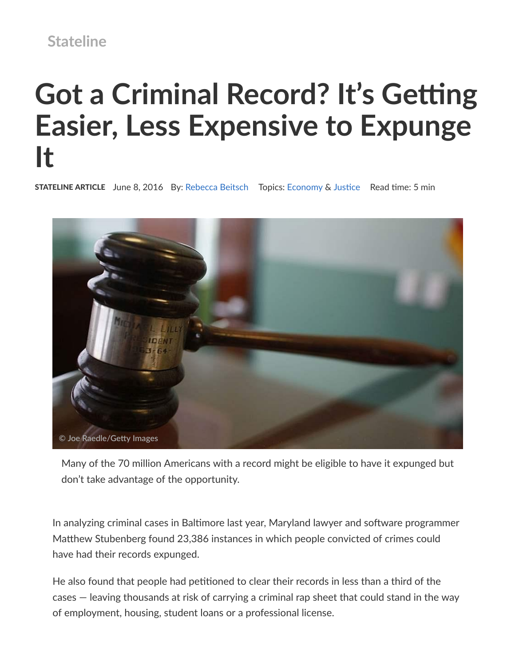## **Stateline**

# **Got a Criminal Record? It's Getting Easier, Less Expensive to Expunge It**

**STATELINE ARTICLE** June 8, 2016 By: Rebecca Beitsch Topics: Economy & Justice Read time: 5 min



Many of the 70 million Americans with a record might be eligible to have it expunged but don't take advantage of the opportunity.

In analyzing criminal cases in Baltimore last year, Maryland lawyer and software programmer Matthew Stubenberg found 23,386 instances in which people convicted of crimes could have had their records expunged.

He also found that people had petitioned to clear their records in less than a third of the cases — leaving thousands at risk of carrying a criminal rap sheet that could stand in the way of employment, housing, student loans or a professional license.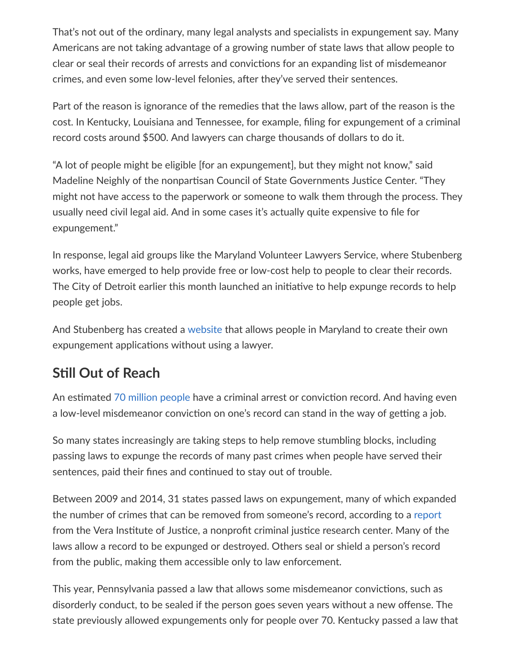That's not out of the ordinary, many legal analysts and specialists in expungement say. Many Americans are not taking advantage of a growing number of state laws that allow people to clear or seal their records of arrests and convictions for an expanding list of misdemeanor crimes, and even some low-level felonies, after they've served their sentences.

Part of the reason is ignorance of the remedies that the laws allow, part of the reason is the cost. In Kentucky, Louisiana and Tennessee, for example, filing for expungement of a criminal record costs around \$500. And lawyers can charge thousands of dollars to do it.

"A lot of people might be eligible [for an expungement], but they might not know," said Madeline Neighly of the nonpartisan Council of State Governments Justice Center. "They might not have access to the paperwork or someone to walk them through the process. They usually need civil legal aid. And in some cases it's actually quite expensive to file for expungement."

In response, legal aid groups like the Maryland Volunteer Lawyers Service, where Stubenberg works, have emerged to help provide free or low‑cost help to people to clear their records. The City of Detroit earlier this month launched an initiative to help expunge records to help people get jobs.

And Stubenberg has created a website that allows people in Maryland to create their own expungement applications without using a lawyer.

### **Sll Out of Reach**

An estimated 70 million people have a criminal arrest or conviction record. And having even a low-level misdemeanor conviction on one's record can stand in the way of getting a job.

So many states increasingly are taking steps to help remove stumbling blocks, including passing laws to expunge the records of many past crimes when people have served their sentences, paid their fines and continued to stay out of trouble.

Between 2009 and 2014, 31 states passed laws on expungement, many of which expanded the number of crimes that can be removed from someone's record, according to a report from the Vera Institute of Justice, a nonprofit criminal justice research center. Many of the laws allow a record to be expunged or destroyed. Others seal or shield a person's record from the public, making them accessible only to law enforcement.

This year, Pennsylvania passed a law that allows some misdemeanor convictions, such as disorderly conduct, to be sealed if the person goes seven years without a new offense. The state previously allowed expungements only for people over 70. Kentucky passed a law that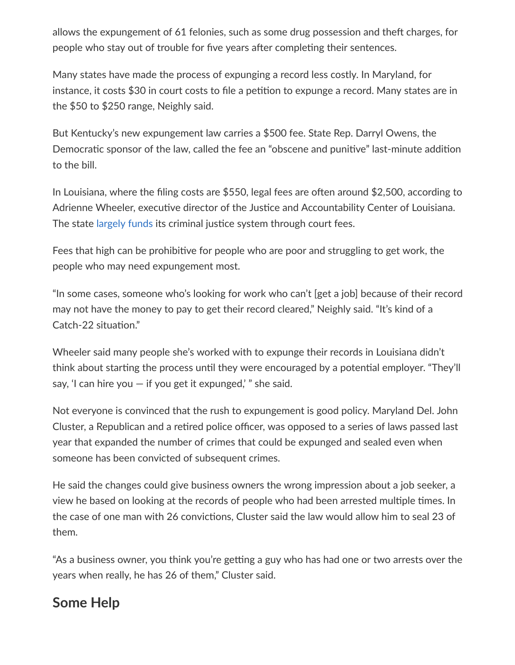allows the expungement of 61 felonies, such as some drug possession and theft charges, for people who stay out of trouble for five years after completing their sentences.

Many states have made the process of expunging a record less costly. In Maryland, for instance, it costs \$30 in court costs to file a petition to expunge a record. Many states are in the \$50 to \$250 range, Neighly said.

But Kentucky's new expungement law carries a \$500 fee. State Rep. Darryl Owens, the Democratic sponsor of the law, called the fee an "obscene and punitive" last-minute addition to the bill.

In Louisiana, where the filing costs are \$550, legal fees are often around \$2,500, according to Adrienne Wheeler, executive director of the Justice and Accountability Center of Louisiana. The state largely funds its criminal justice system through court fees.

Fees that high can be prohibitive for people who are poor and struggling to get work, the people who may need expungement most.

"In some cases, someone who's looking for work who can't [get a job] because of their record may not have the money to pay to get their record cleared," Neighly said. "It's kind of a Catch-22 situation."

Wheeler said many people she's worked with to expunge their records in Louisiana didn't think about starting the process until they were encouraged by a potential employer. "They'll say, 'I can hire you  $-$  if you get it expunged,' " she said.

Not everyone is convinced that the rush to expungement is good policy. Maryland Del. John Cluster, a Republican and a retired police officer, was opposed to a series of laws passed last year that expanded the number of crimes that could be expunged and sealed even when someone has been convicted of subsequent crimes.

He said the changes could give business owners the wrong impression about a job seeker, a view he based on looking at the records of people who had been arrested multiple times. In the case of one man with 26 convictions, Cluster said the law would allow him to seal 23 of them.

"As a business owner, you think you're getting a guy who has had one or two arrests over the years when really, he has 26 of them," Cluster said.

### **Some Help**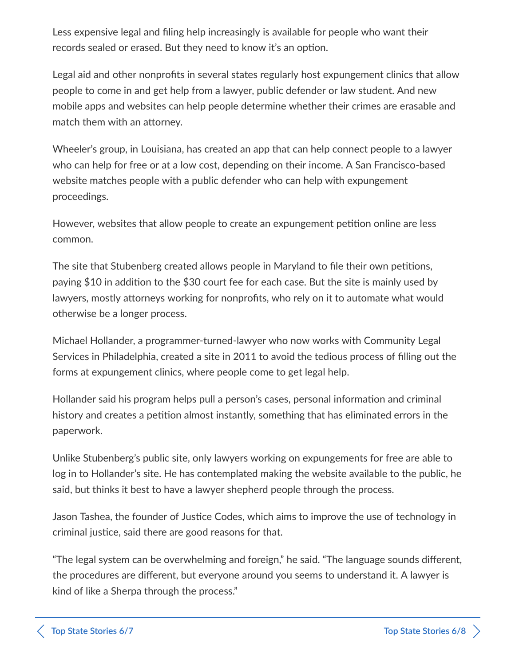Less expensive legal and filing help increasingly is available for people who want their records sealed or erased. But they need to know it's an option.

Legal aid and other nonprofits in several states regularly host expungement clinics that allow people to come in and get help from a lawyer, public defender or law student. And new mobile apps and websites can help people determine whether their crimes are erasable and match them with an attorney.

Wheeler's group, in Louisiana, has created an app that can help connect people to a lawyer who can help for free or at a low cost, depending on their income. A San Francisco-based website matches people with a public defender who can help with expungement proceedings.

However, websites that allow people to create an expungement petition online are less common.

The site that Stubenberg created allows people in Maryland to file their own petitions, paying \$10 in addition to the \$30 court fee for each case. But the site is mainly used by lawyers, mostly attorneys working for nonprofits, who rely on it to automate what would otherwise be a longer process.

Michael Hollander, a programmer-turned-lawyer who now works with Community Legal Services in Philadelphia, created a site in 2011 to avoid the tedious process of filling out the forms at expungement clinics, where people come to get legal help.

Hollander said his program helps pull a person's cases, personal information and criminal history and creates a petition almost instantly, something that has eliminated errors in the paperwork.

Unlike Stubenberg's public site, only lawyers working on expungements for free are able to log in to Hollander's site. He has contemplated making the website available to the public, he said, but thinks it best to have a lawyer shepherd people through the process.

Jason Tashea, the founder of Justice Codes, which aims to improve the use of technology in criminal justice, said there are good reasons for that.

"The legal system can be overwhelming and foreign," he said. "The language sounds different, the procedures are different, but everyone around you seems to understand it. A lawyer is kind of like a Sherpa through the process."